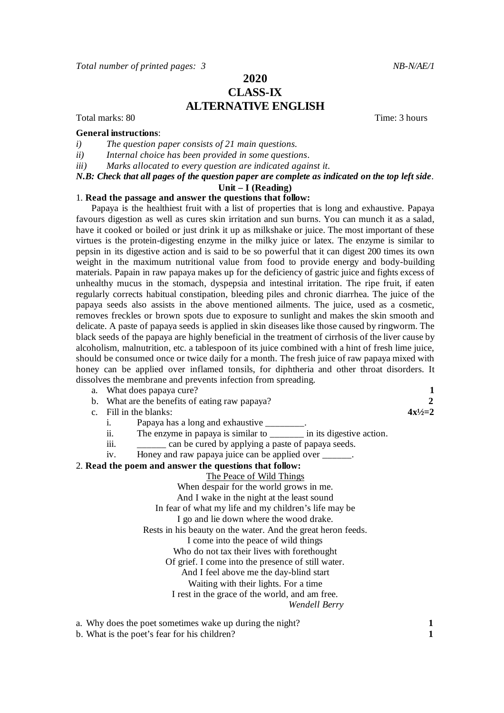# **2020 CLASS-IX ALTERNATIVE ENGLISH**

Total marks: 80 Total marks: 80 Total marks: 80 Total marks: 80 Total marks: 80 Total marks: 80 Total marks: 80 Total marks: 80 Total marks: 80 Total marks: 80 Total marks: 80 Total marks: 80 Total marks: 80 Total marks: 8

#### **General instructions**:

- *i) The question paper consists of 21 main questions.*
- *ii) Internal choice has been provided in some questions*.

*iii) Marks allocated to every question are indicated against it.*

## *N.B: Check that all pages of the question paper are complete as indicated on the top left side*.

#### **Unit – I (Reading)**

#### 1. **Read the passage and answer the questions that follow:**

Papaya is the healthiest fruit with a list of properties that is long and exhaustive. Papaya favours digestion as well as cures skin irritation and sun burns. You can munch it as a salad, have it cooked or boiled or just drink it up as milkshake or juice. The most important of these virtues is the protein-digesting enzyme in the milky juice or latex. The enzyme is similar to pepsin in its digestive action and is said to be so powerful that it can digest 200 times its own weight in the maximum nutritional value from food to provide energy and body-building materials. Papain in raw papaya makes up for the deficiency of gastric juice and fights excess of unhealthy mucus in the stomach, dyspepsia and intestinal irritation. The ripe fruit, if eaten regularly corrects habitual constipation, bleeding piles and chronic diarrhea. The juice of the papaya seeds also assists in the above mentioned ailments. The juice, used as a cosmetic, removes freckles or brown spots due to exposure to sunlight and makes the skin smooth and delicate. A paste of papaya seeds is applied in skin diseases like those caused by ringworm. The black seeds of the papaya are highly beneficial in the treatment of cirrhosis of the liver cause by alcoholism, malnutrition, etc. a tablespoon of its juice combined with a hint of fresh lime juice, should be consumed once or twice daily for a month. The fresh juice of raw papaya mixed with honey can be applied over inflamed tonsils, for diphtheria and other throat disorders. It dissolves the membrane and prevents infection from spreading.

a. What does papaya cure? **1** b. What are the benefits of eating raw papaya? **2** c. Fill in the blanks:  $4x^{1/2} = 2$ i. Papaya has a long and exhaustive ii. The enzyme in papaya is similar to \_\_\_\_\_\_\_ in its digestive action. iii. can be cured by applying a paste of papaya seeds. iv. Honey and raw papaya juice can be applied over \_\_\_\_\_\_. 2. **Read the poem and answer the questions that follow:** The Peace of Wild Things When despair for the world grows in me. And I wake in the night at the least sound In fear of what my life and my children's life may be I go and lie down where the wood drake. Rests in his beauty on the water. And the great heron feeds. I come into the peace of wild things Who do not tax their lives with forethought Of grief. I come into the presence of still water. And I feel above me the day-blind start Waiting with their lights. For a time I rest in the grace of the world, and am free. *Wendell Berry* a. Why does the poet sometimes wake up during the night?<br> **1**<br> **1**<br> **1**<br> **1** 

b. What is the poet's fear for his children? **1**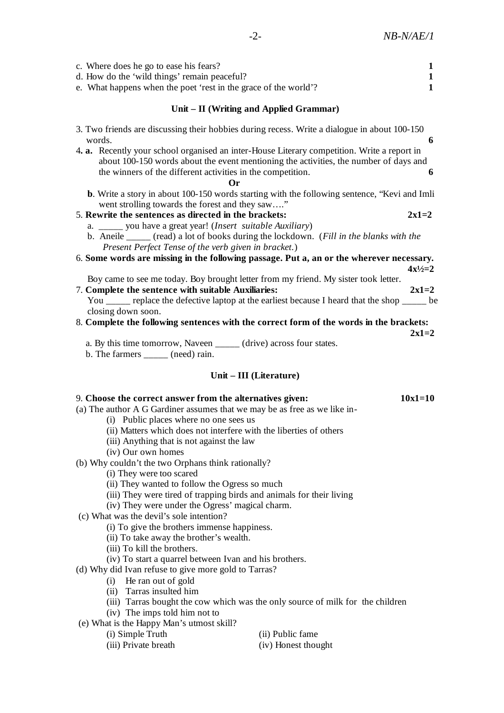| c. Where does he go to ease his fears?<br>d. How do the 'wild things' remain peaceful?<br>e. What happens when the poet 'rest in the grace of the world'? | 1 |  |  |  |  |
|-----------------------------------------------------------------------------------------------------------------------------------------------------------|---|--|--|--|--|
| Unit – II (Writing and Applied Grammar)                                                                                                                   |   |  |  |  |  |
| 3. Two friends are discussing their hobbies during recess. Write a dialogue in about 100-150<br>words.                                                    |   |  |  |  |  |

| <b>** \/\\\\\</b> \\                                                                        |   |
|---------------------------------------------------------------------------------------------|---|
| 4. a. Recently your school organised an inter-House Literary competition. Write a report in |   |
| about 100-150 words about the event mentioning the activities, the number of days and       |   |
| the winners of the different activities in the competition.                                 | 6 |
|                                                                                             |   |

- **Or**
- **b**. Write a story in about 100-150 words starting with the following sentence, "Kevi and Imli went strolling towards the forest and they saw...."

## 5. **Rewrite the sentences as directed in the brackets: 2x1=2**

- a. \_\_\_\_\_ you have a great year! (*Insert suitable Auxiliary*)
- b. Aneile \_\_\_\_\_ (read) a lot of books during the lockdown. (*Fill in the blanks with the Present Perfect Tense of the verb given in bracket.*)
- 6. **Some words are missing in the following passage. Put a, an or the wherever necessary.**   $4x^{1/2}=2$ 
	- Boy came to see me today. Boy brought letter from my friend. My sister took letter.
- 7. **Complete the sentence with suitable Auxiliaries: 2x1=2** You \_\_\_\_\_ replace the defective laptop at the earliest because I heard that the shop \_\_\_\_\_ be closing down soon.

## 8. **Complete the following sentences with the correct form of the words in the brackets:**

- **2x1=2**  a. By this time tomorrow, Naveen \_\_\_\_\_ (drive) across four states.
- b. The farmers \_\_\_\_\_ (need) rain.

## **Unit – III (Literature)**

### 9. **Choose the correct answer from the alternatives given: 10x1=10**

- (a) The author A G Gardiner assumes that we may be as free as we like in-
	- (i) Public places where no one sees us
	- (ii) Matters which does not interfere with the liberties of others
	- (iii) Anything that is not against the law
	- (iv) Our own homes
- (b) Why couldn't the two Orphans think rationally?
	- (i) They were too scared
	- (ii) They wanted to follow the Ogress so much
	- (iii) They were tired of trapping birds and animals for their living
	- (iv) They were under the Ogress' magical charm.
- (c) What was the devil's sole intention?
	- (i) To give the brothers immense happiness.
	- (ii) To take away the brother's wealth.
	- (iii) To kill the brothers.
	- (iv) To start a quarrel between Ivan and his brothers.
- (d) Why did Ivan refuse to give more gold to Tarras?
	- (i) He ran out of gold
	- (ii) Tarras insulted him
	- (iii) Tarras bought the cow which was the only source of milk for the children
	- (iv) The imps told him not to
- (e) What is the Happy Man's utmost skill?
	-
- (i) Simple Truth (ii) Public fame
	- (iii) Private breath (iv) Honest thought